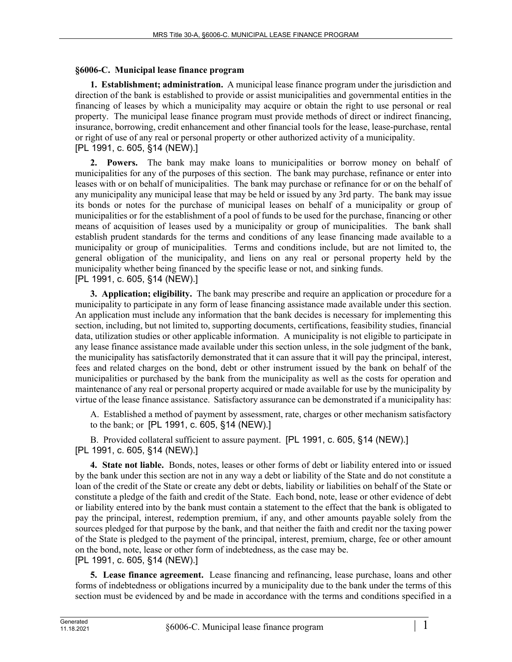## **§6006-C. Municipal lease finance program**

**1. Establishment; administration.** A municipal lease finance program under the jurisdiction and direction of the bank is established to provide or assist municipalities and governmental entities in the financing of leases by which a municipality may acquire or obtain the right to use personal or real property. The municipal lease finance program must provide methods of direct or indirect financing, insurance, borrowing, credit enhancement and other financial tools for the lease, lease-purchase, rental or right of use of any real or personal property or other authorized activity of a municipality. [PL 1991, c. 605, §14 (NEW).]

**2. Powers.** The bank may make loans to municipalities or borrow money on behalf of municipalities for any of the purposes of this section. The bank may purchase, refinance or enter into leases with or on behalf of municipalities. The bank may purchase or refinance for or on the behalf of any municipality any municipal lease that may be held or issued by any 3rd party. The bank may issue its bonds or notes for the purchase of municipal leases on behalf of a municipality or group of municipalities or for the establishment of a pool of funds to be used for the purchase, financing or other means of acquisition of leases used by a municipality or group of municipalities. The bank shall establish prudent standards for the terms and conditions of any lease financing made available to a municipality or group of municipalities. Terms and conditions include, but are not limited to, the general obligation of the municipality, and liens on any real or personal property held by the municipality whether being financed by the specific lease or not, and sinking funds. [PL 1991, c. 605, §14 (NEW).]

**3. Application; eligibility.** The bank may prescribe and require an application or procedure for a municipality to participate in any form of lease financing assistance made available under this section. An application must include any information that the bank decides is necessary for implementing this section, including, but not limited to, supporting documents, certifications, feasibility studies, financial data, utilization studies or other applicable information. A municipality is not eligible to participate in any lease finance assistance made available under this section unless, in the sole judgment of the bank, the municipality has satisfactorily demonstrated that it can assure that it will pay the principal, interest, fees and related charges on the bond, debt or other instrument issued by the bank on behalf of the municipalities or purchased by the bank from the municipality as well as the costs for operation and maintenance of any real or personal property acquired or made available for use by the municipality by virtue of the lease finance assistance. Satisfactory assurance can be demonstrated if a municipality has:

A. Established a method of payment by assessment, rate, charges or other mechanism satisfactory to the bank; or [PL 1991, c. 605, §14 (NEW).]

B. Provided collateral sufficient to assure payment. [PL 1991, c. 605, §14 (NEW).] [PL 1991, c. 605, §14 (NEW).]

**4. State not liable.** Bonds, notes, leases or other forms of debt or liability entered into or issued by the bank under this section are not in any way a debt or liability of the State and do not constitute a loan of the credit of the State or create any debt or debts, liability or liabilities on behalf of the State or constitute a pledge of the faith and credit of the State. Each bond, note, lease or other evidence of debt or liability entered into by the bank must contain a statement to the effect that the bank is obligated to pay the principal, interest, redemption premium, if any, and other amounts payable solely from the sources pledged for that purpose by the bank, and that neither the faith and credit nor the taxing power of the State is pledged to the payment of the principal, interest, premium, charge, fee or other amount on the bond, note, lease or other form of indebtedness, as the case may be. [PL 1991, c. 605, §14 (NEW).]

**5. Lease finance agreement.** Lease financing and refinancing, lease purchase, loans and other forms of indebtedness or obligations incurred by a municipality due to the bank under the terms of this section must be evidenced by and be made in accordance with the terms and conditions specified in a